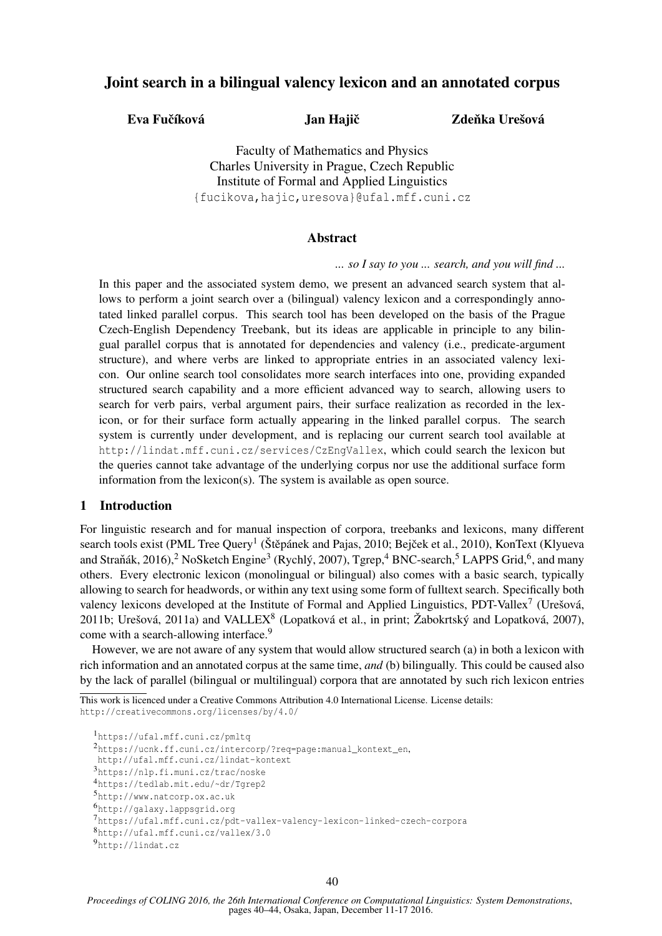# Joint search in a bilingual valency lexicon and an annotated corpus

Eva Fučíková Jan Hajič

Zdeňka Urešová

Faculty of Mathematics and Physics Charles University in Prague, Czech Republic Institute of Formal and Applied Linguistics {fucikova,hajic,uresova}@ufal.mff.cuni.cz

### Abstract

*... so I say to you ... search, and you will find ...*

In this paper and the associated system demo, we present an advanced search system that allows to perform a joint search over a (bilingual) valency lexicon and a correspondingly annotated linked parallel corpus. This search tool has been developed on the basis of the Prague Czech-English Dependency Treebank, but its ideas are applicable in principle to any bilingual parallel corpus that is annotated for dependencies and valency (i.e., predicate-argument structure), and where verbs are linked to appropriate entries in an associated valency lexicon. Our online search tool consolidates more search interfaces into one, providing expanded structured search capability and a more efficient advanced way to search, allowing users to search for verb pairs, verbal argument pairs, their surface realization as recorded in the lexicon, or for their surface form actually appearing in the linked parallel corpus. The search system is currently under development, and is replacing our current search tool available at http://lindat.mff.cuni.cz/services/CzEngVallex, which could search the lexicon but the queries cannot take advantage of the underlying corpus nor use the additional surface form information from the lexicon(s). The system is available as open source.

## 1 Introduction

For linguistic research and for manual inspection of corpora, treebanks and lexicons, many different search tools exist (PML Tree Query<sup>1</sup> (Štěpánek and Pajas, 2010; Bejček et al., 2010), KonText (Klyueva and Straňák, 2016),<sup>2</sup> NoSketch Engine<sup>3</sup> (Rychlý, 2007), Tgrep,<sup>4</sup> BNC-search,<sup>5</sup> LAPPS Grid,<sup>6</sup>, and many others. Every electronic lexicon (monolingual or bilingual) also comes with a basic search, typically allowing to search for headwords, or within any text using some form of fulltext search. Specifically both valency lexicons developed at the Institute of Formal and Applied Linguistics, PDT-Vallex<sup>7</sup> (Urešová, 2011b; Urešová, 2011a) and VALLEX<sup>8</sup> (Lopatková et al., in print; Žabokrtský and Lopatková, 2007), come with a search-allowing interface.<sup>9</sup>

However, we are not aware of any system that would allow structured search (a) in both a lexicon with rich information and an annotated corpus at the same time, *and* (b) bilingually. This could be caused also by the lack of parallel (bilingual or multilingual) corpora that are annotated by such rich lexicon entries

This work is licenced under a Creative Commons Attribution 4.0 International License. License details: http://creativecommons.org/licenses/by/4.0/

<sup>1</sup>https://ufal.mff.cuni.cz/pmltq <sup>2</sup>https://ucnk.ff.cuni.cz/intercorp/?req=page:manual\_kontext\_en, http://ufal.mff.cuni.cz/lindat-kontext <sup>3</sup>https://nlp.fi.muni.cz/trac/noske <sup>4</sup>https://tedlab.mit.edu/~dr/Tgrep2 <sup>5</sup>http://www.natcorp.ox.ac.uk <sup>6</sup>http://galaxy.lappsgrid.org <sup>7</sup>https://ufal.mff.cuni.cz/pdt-vallex-valency-lexicon-linked-czech-corpora <sup>8</sup>http://ufal.mff.cuni.cz/vallex/3.0 <sup>9</sup>http://lindat.cz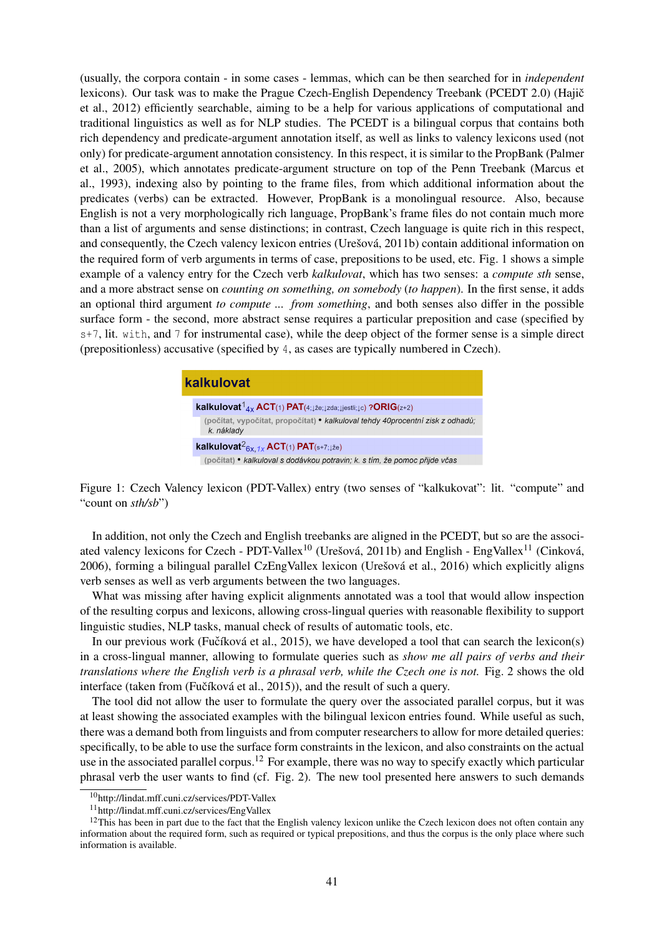(usually, the corpora contain - in some cases - lemmas, which can be then searched for in *independent* lexicons). Our task was to make the Prague Czech-English Dependency Treebank (PCEDT 2.0) (Hajič et al., 2012) efficiently searchable, aiming to be a help for various applications of computational and traditional linguistics as well as for NLP studies. The PCEDT is a bilingual corpus that contains both rich dependency and predicate-argument annotation itself, as well as links to valency lexicons used (not only) for predicate-argument annotation consistency. In this respect, it is similar to the PropBank (Palmer et al., 2005), which annotates predicate-argument structure on top of the Penn Treebank (Marcus et al., 1993), indexing also by pointing to the frame files, from which additional information about the predicates (verbs) can be extracted. However, PropBank is a monolingual resource. Also, because English is not a very morphologically rich language, PropBank's frame files do not contain much more than a list of arguments and sense distinctions; in contrast, Czech language is quite rich in this respect, and consequently, the Czech valency lexicon entries (Urešová, 2011b) contain additional information on the required form of verb arguments in terms of case, prepositions to be used, etc. Fig. 1 shows a simple example of a valency entry for the Czech verb *kalkulovat*, which has two senses: a *compute sth* sense, and a more abstract sense on *counting on something, on somebody* (*to happen*). In the first sense, it adds an optional third argument *to compute ... from something*, and both senses also differ in the possible surface form - the second, more abstract sense requires a particular preposition and case (specified by s+7, lit. with, and 7 for instrumental case), while the deep object of the former sense is a simple direct (prepositionless) accusative (specified by 4, as cases are typically numbered in Czech).

# kalkulovat **kalkulovat**<sup>1</sup><sub>4x</sub> ACT(1) PAT(4; $\downarrow \check{z}$ e; $\downarrow$ zda; $\downarrow \downarrow$ iestli; $\downarrow$ c) ?ORIG(z+2) (počítat, vypočítat, propočítat) • kalkuloval tehdy 40procentní zisk z odhadů; k. náklady kalkulovat ${}^2_{6x, 1x}$ ACT(1) PAT(s+7; $\downarrow$ že) (počítat) • kalkuloval s dodávkou potravin; k. s tím, že pomoc přijde včas

Figure 1: Czech Valency lexicon (PDT-Vallex) entry (two senses of "kalkukovat": lit. "compute" and "count on *sth/sb*")

In addition, not only the Czech and English treebanks are aligned in the PCEDT, but so are the associated valency lexicons for Czech - PDT-Vallex<sup>10</sup> (Urešová, 2011b) and English - EngVallex<sup>11</sup> (Cinková, 2006), forming a bilingual parallel CzEngVallex lexicon (Urešová et al., 2016) which explicitly aligns verb senses as well as verb arguments between the two languages.

What was missing after having explicit alignments annotated was a tool that would allow inspection of the resulting corpus and lexicons, allowing cross-lingual queries with reasonable flexibility to support linguistic studies, NLP tasks, manual check of results of automatic tools, etc.

In our previous work (Fučíková et al., 2015), we have developed a tool that can search the lexicon(s) in a cross-lingual manner, allowing to formulate queries such as *show me all pairs of verbs and their translations where the English verb is a phrasal verb, while the Czech one is not.* Fig. 2 shows the old interface (taken from (Fučíková et al.,  $2015$ )), and the result of such a query.

The tool did not allow the user to formulate the query over the associated parallel corpus, but it was at least showing the associated examples with the bilingual lexicon entries found. While useful as such, there was a demand both from linguists and from computer researchers to allow for more detailed queries: specifically, to be able to use the surface form constraints in the lexicon, and also constraints on the actual use in the associated parallel corpus.<sup>12</sup> For example, there was no way to specify exactly which particular phrasal verb the user wants to find (cf. Fig. 2). The new tool presented here answers to such demands

<sup>10</sup>http://lindat.mff.cuni.cz/services/PDT-Vallex

<sup>11</sup>http://lindat.mff.cuni.cz/services/EngVallex

 $12$ This has been in part due to the fact that the English valency lexicon unlike the Czech lexicon does not often contain any information about the required form, such as required or typical prepositions, and thus the corpus is the only place where such information is available.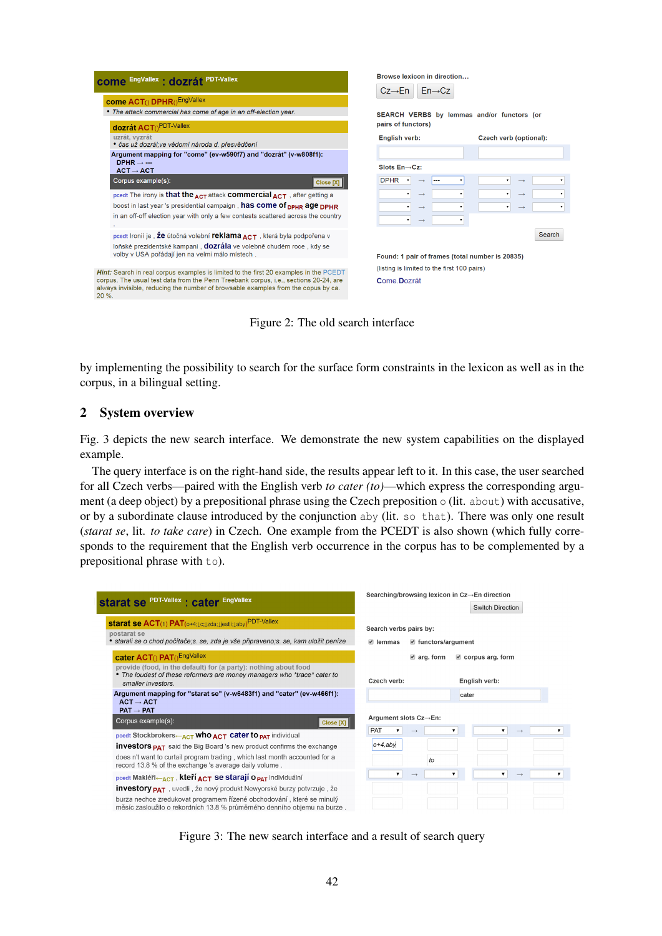

Figure 2: The old search interface

by implementing the possibility to search for the surface form constraints in the lexicon as well as in the corpus, in a bilingual setting.

## 2 System overview

Fig. 3 depicts the new search interface. We demonstrate the new system capabilities on the displayed example.

The query interface is on the right-hand side, the results appear left to it. In this case, the user searched for all Czech verbs—paired with the English verb *to cater (to)*—which express the corresponding argument (a deep object) by a prepositional phrase using the Czech preposition  $\circ$  (lit. about) with accusative, or by a subordinate clause introduced by the conjunction aby (lit. so that). There was only one result (*starat se*, lit. *to take care*) in Czech. One example from the PCEDT is also shown (which fully corresponds to the requirement that the English verb occurrence in the corpus has to be complemented by a prepositional phrase with to).

| <b>Starat Se PDT-Vallex : cater EngVallex</b>                                                                                                                             | Searching/browsing lexicon in Cz→En direction                                       |  |
|---------------------------------------------------------------------------------------------------------------------------------------------------------------------------|-------------------------------------------------------------------------------------|--|
|                                                                                                                                                                           | <b>Switch Direction</b>                                                             |  |
| starat se ACT(1) PAT(0+4;1c;1zda;1jestli;1aby) <sup>PDT-Vallex</sup><br>postarat se<br>• starali se o chod počítače;s. se, zda je vše připraveno;s. se, kam uložit peníze | Search verbs pairs by:<br>$\blacksquare$ functors/argument<br>$\blacksquare$ lemmas |  |
| cater ACT() PAT() <sup>EngVallex</sup>                                                                                                                                    | $\blacksquare$ arg. form<br>$\blacksquare$ corpus arg. form                         |  |
| provide (food, in the default) for (a party): nothing about food<br>• The loudest of these reformers are money managers who *trace* cater to<br>smaller investors.        | Czech verb:<br>English verb:                                                        |  |
| Argument mapping for "starat se" (v-w6483f1) and "cater" (ev-w466f1):<br>$ACT \rightarrow ACT$                                                                            | cater                                                                               |  |
| $PAT \rightarrow PAT$                                                                                                                                                     |                                                                                     |  |
| Corpus example(s):<br>Close [X]                                                                                                                                           | Argument slots Cz→En:                                                               |  |
| pcedt Stockbrokers $\leftarrow$ <sub>ACT</sub> who $_{\text{ACT}}$ cater to $_{\text{PAT}}$ individual                                                                    | PAT<br>▼<br>$\mathbf{v}$<br>▼<br>$\longrightarrow$                                  |  |
| <b>investors <sub>PAT</sub></b> said the Big Board 's new product confirms the exchange                                                                                   | $o+4$ , aby                                                                         |  |
| does n't want to curtail program trading, which last month accounted for a<br>record 13.8 % of the exchange 's average daily volume.                                      | $\mathfrak{g}$                                                                      |  |
| pcedt Makléři—ACT, kteří ACT Se starají O <sub>PAT</sub> individuální                                                                                                     | $\mathbf{v}$<br>▼.<br>$\mathbf{v}$<br>$\rightarrow$<br>$\rightarrow$                |  |
| <b>investory <sub>PAT</sub></b> , uvedli, že nový produkt Newyorské burzy potvrzuje, že                                                                                   |                                                                                     |  |
| burza nechce zredukovat programem řízené obchodování, které se minulý<br>měsíc zasloužilo o rekordních 13.8 % průměrného denního objemu na burze.                         |                                                                                     |  |

Figure 3: The new search interface and a result of search query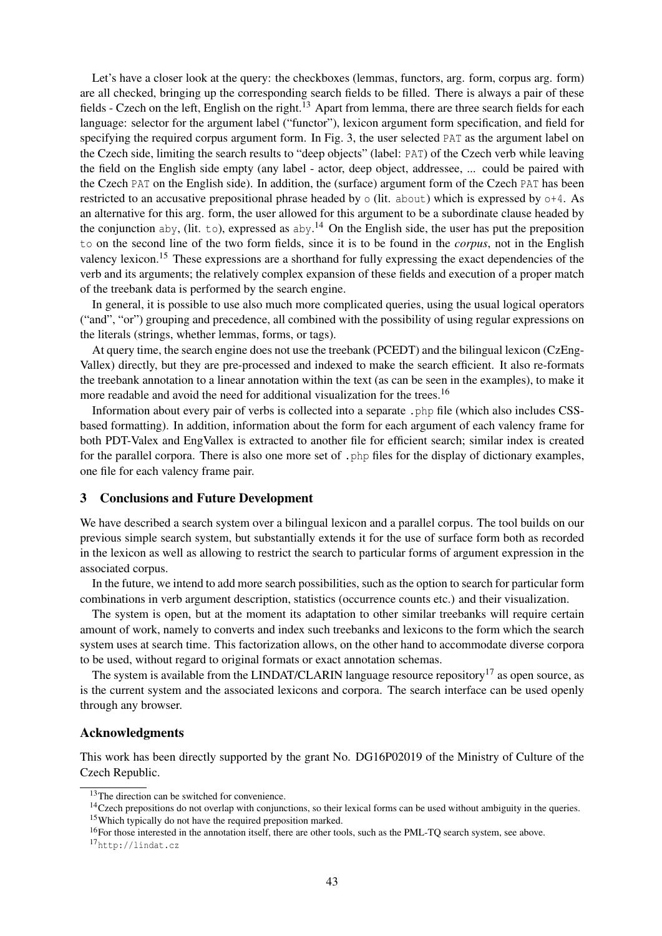Let's have a closer look at the query: the checkboxes (lemmas, functors, arg. form, corpus arg. form) are all checked, bringing up the corresponding search fields to be filled. There is always a pair of these fields - Czech on the left, English on the right.<sup>13</sup> Apart from lemma, there are three search fields for each language: selector for the argument label ("functor"), lexicon argument form specification, and field for specifying the required corpus argument form. In Fig. 3, the user selected PAT as the argument label on the Czech side, limiting the search results to "deep objects" (label: PAT) of the Czech verb while leaving the field on the English side empty (any label - actor, deep object, addressee, ... could be paired with the Czech PAT on the English side). In addition, the (surface) argument form of the Czech PAT has been restricted to an accusative prepositional phrase headed by o (lit. about) which is expressed by o+4. As an alternative for this arg. form, the user allowed for this argument to be a subordinate clause headed by the conjunction aby, (lit. to), expressed as  $aby<sup>14</sup>$  On the English side, the user has put the preposition to on the second line of the two form fields, since it is to be found in the *corpus*, not in the English valency lexicon.<sup>15</sup> These expressions are a shorthand for fully expressing the exact dependencies of the verb and its arguments; the relatively complex expansion of these fields and execution of a proper match of the treebank data is performed by the search engine.

In general, it is possible to use also much more complicated queries, using the usual logical operators ("and", "or") grouping and precedence, all combined with the possibility of using regular expressions on the literals (strings, whether lemmas, forms, or tags).

At query time, the search engine does not use the treebank (PCEDT) and the bilingual lexicon (CzEng-Vallex) directly, but they are pre-processed and indexed to make the search efficient. It also re-formats the treebank annotation to a linear annotation within the text (as can be seen in the examples), to make it more readable and avoid the need for additional visualization for the trees.<sup>16</sup>

Information about every pair of verbs is collected into a separate .php file (which also includes CSSbased formatting). In addition, information about the form for each argument of each valency frame for both PDT-Valex and EngVallex is extracted to another file for efficient search; similar index is created for the parallel corpora. There is also one more set of . php files for the display of dictionary examples, one file for each valency frame pair.

#### 3 Conclusions and Future Development

We have described a search system over a bilingual lexicon and a parallel corpus. The tool builds on our previous simple search system, but substantially extends it for the use of surface form both as recorded in the lexicon as well as allowing to restrict the search to particular forms of argument expression in the associated corpus.

In the future, we intend to add more search possibilities, such as the option to search for particular form combinations in verb argument description, statistics (occurrence counts etc.) and their visualization.

The system is open, but at the moment its adaptation to other similar treebanks will require certain amount of work, namely to converts and index such treebanks and lexicons to the form which the search system uses at search time. This factorization allows, on the other hand to accommodate diverse corpora to be used, without regard to original formats or exact annotation schemas.

The system is available from the LINDAT/CLARIN language resource repository<sup>17</sup> as open source, as is the current system and the associated lexicons and corpora. The search interface can be used openly through any browser.

#### Acknowledgments

This work has been directly supported by the grant No. DG16P02019 of the Ministry of Culture of the Czech Republic.

<sup>&</sup>lt;sup>13</sup>The direction can be switched for convenience.

<sup>&</sup>lt;sup>14</sup>Czech prepositions do not overlap with conjunctions, so their lexical forms can be used without ambiguity in the queries. <sup>15</sup>Which typically do not have the required preposition marked.

<sup>&</sup>lt;sup>16</sup>For those interested in the annotation itself, there are other tools, such as the PML-TQ search system, see above.

<sup>17</sup>http://lindat.cz